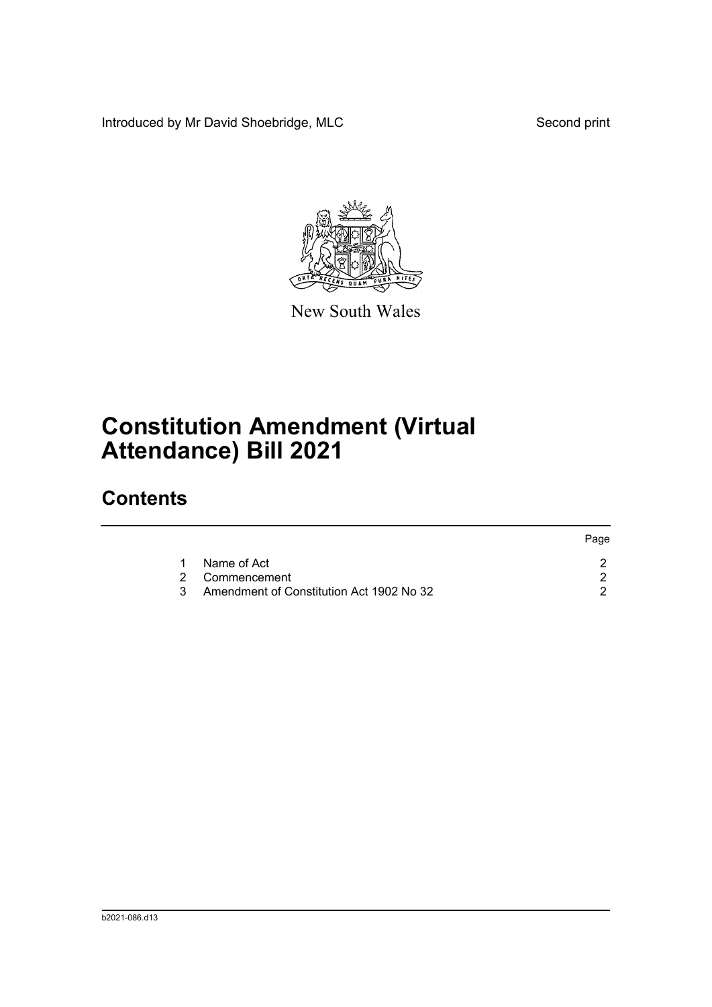Introduced by Mr David Shoebridge, MLC Second print

Page



New South Wales

## **Constitution Amendment (Virtual Attendance) Bill 2021**

## **Contents**

|     |                                          | Page |
|-----|------------------------------------------|------|
|     | Name of Act                              |      |
|     | 2 Commencement                           |      |
| 3 I | Amendment of Constitution Act 1902 No 32 |      |
|     |                                          |      |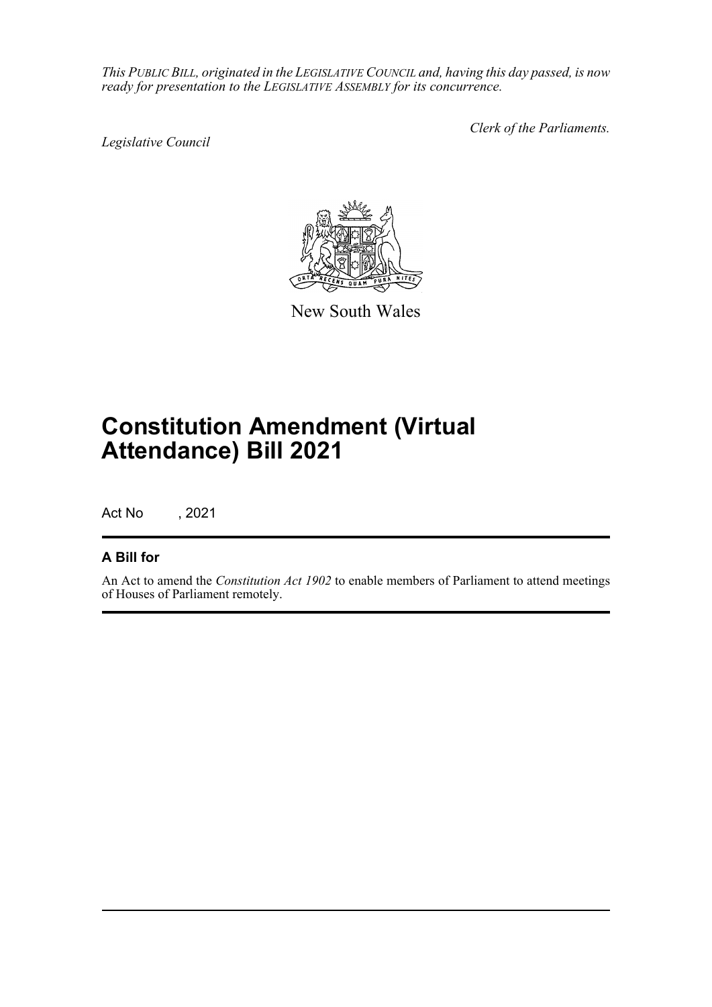*This PUBLIC BILL, originated in the LEGISLATIVE COUNCIL and, having this day passed, is now ready for presentation to the LEGISLATIVE ASSEMBLY for its concurrence.*

*Legislative Council*

*Clerk of the Parliaments.*



New South Wales

## **Constitution Amendment (Virtual Attendance) Bill 2021**

Act No , 2021

## **A Bill for**

An Act to amend the *Constitution Act 1902* to enable members of Parliament to attend meetings of Houses of Parliament remotely.